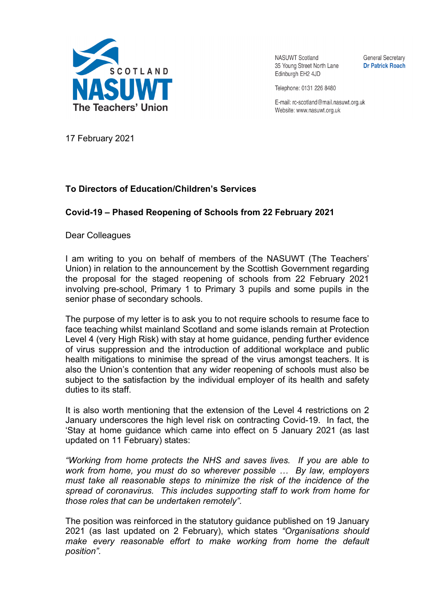

**NASUWT Scotland** 35 Young Street North Lane Edinburgh EH2 4JD

**General Secretary Dr Patrick Roach** 

Telephone: 0131 226 8480

E-mail: rc-scotland@mail.nasuwt.org.uk Website: www.nasuwt.org.uk

17 February 2021

## **To Directors of Education/Children's Services**

## **Covid-19 – Phased Reopening of Schools from 22 February 2021**

Dear Colleagues

I am writing to you on behalf of members of the NASUWT (The Teachers' Union) in relation to the announcement by the Scottish Government regarding the proposal for the staged reopening of schools from 22 February 2021 involving pre-school, Primary 1 to Primary 3 pupils and some pupils in the senior phase of secondary schools.

The purpose of my letter is to ask you to not require schools to resume face to face teaching whilst mainland Scotland and some islands remain at Protection Level 4 (very High Risk) with stay at home guidance, pending further evidence of virus suppression and the introduction of additional workplace and public health mitigations to minimise the spread of the virus amongst teachers. It is also the Union's contention that any wider reopening of schools must also be subject to the satisfaction by the individual employer of its health and safety duties to its staff.

It is also worth mentioning that the extension of the Level 4 restrictions on 2 January underscores the high level risk on contracting Covid-19. In fact, the 'Stay at home guidance which came into effect on 5 January 2021 (as last updated on 11 February) states:

*"Working from home protects the NHS and saves lives. If you are able to work from home, you must do so wherever possible … By law, employers must take all reasonable steps to minimize the risk of the incidence of the spread of coronavirus. This includes supporting staff to work from home for those roles that can be undertaken remotely".* 

The position was reinforced in the statutory guidance published on 19 January 2021 (as last updated on 2 February), which states *"Organisations should make every reasonable effort to make working from home the default position".*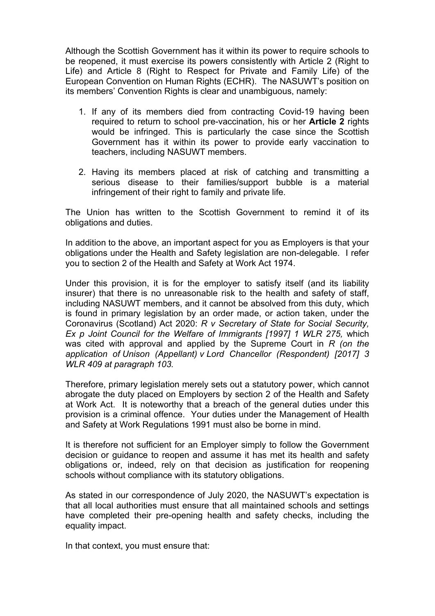Although the Scottish Government has it within its power to require schools to be reopened, it must exercise its powers consistently with Article 2 (Right to Life) and Article 8 (Right to Respect for Private and Family Life) of the European Convention on Human Rights (ECHR). The NASUWT's position on its members' Convention Rights is clear and unambiguous, namely:

- 1. If any of its members died from contracting Covid-19 having been required to return to school pre-vaccination, his or her **Article 2** rights would be infringed. This is particularly the case since the Scottish Government has it within its power to provide early vaccination to teachers, including NASUWT members.
- 2. Having its members placed at risk of catching and transmitting a serious disease to their families/support bubble is a material infringement of their right to family and private life.

The Union has written to the Scottish Government to remind it of its obligations and duties.

In addition to the above, an important aspect for you as Employers is that your obligations under the Health and Safety legislation are non-delegable. I refer you to section 2 of the Health and Safety at Work Act 1974.

Under this provision, it is for the employer to satisfy itself (and its liability insurer) that there is no unreasonable risk to the health and safety of staff, including NASUWT members, and it cannot be absolved from this duty, which is found in primary legislation by an order made, or action taken, under the Coronavirus (Scotland) Act 2020: *R v Secretary of State for Social Security, Ex p Joint Council for the Welfare of Immigrants [1997] 1 WLR 275,* which was cited with approval and applied by the Supreme Court in *R (on the application of Unison (Appellant) v Lord Chancellor (Respondent) [2017] 3 WLR 409 at paragraph 103.*

Therefore, primary legislation merely sets out a statutory power, which cannot abrogate the duty placed on Employers by section 2 of the Health and Safety at Work Act. It is noteworthy that a breach of the general duties under this provision is a criminal offence. Your duties under the Management of Health and Safety at Work Regulations 1991 must also be borne in mind.

It is therefore not sufficient for an Employer simply to follow the Government decision or guidance to reopen and assume it has met its health and safety obligations or, indeed, rely on that decision as justification for reopening schools without compliance with its statutory obligations.

As stated in our correspondence of July 2020, the NASUWT's expectation is that all local authorities must ensure that all maintained schools and settings have completed their pre-opening health and safety checks, including the equality impact.

In that context, you must ensure that: